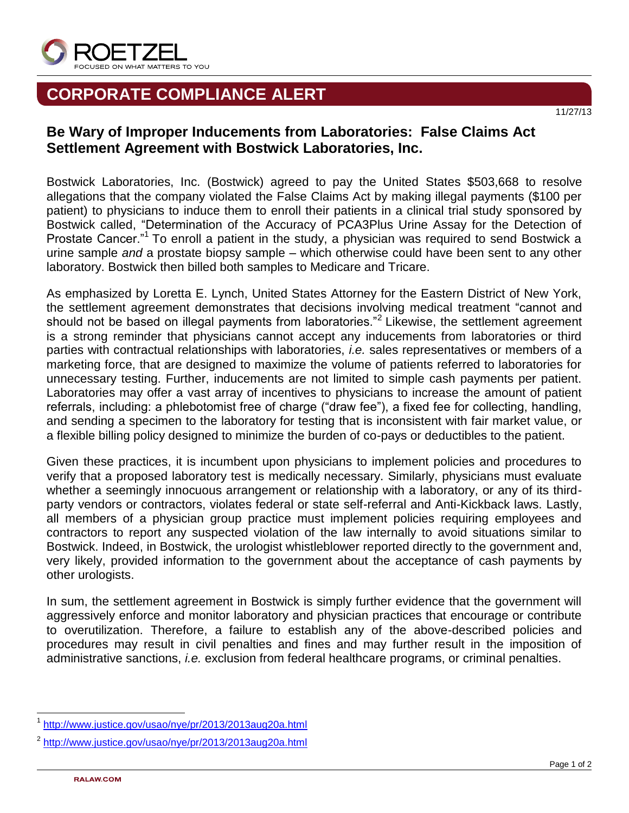

## **CORPORATE COMPLIANCE ALERT**

## **Be Wary of Improper Inducements from Laboratories: False Claims Act Settlement Agreement with Bostwick Laboratories, Inc.**

Bostwick Laboratories, Inc. (Bostwick) agreed to pay the United States \$503,668 to resolve allegations that the company violated the False Claims Act by making illegal payments (\$100 per patient) to physicians to induce them to enroll their patients in a clinical trial study sponsored by Bostwick called, "Determination of the Accuracy of PCA3Plus Urine Assay for the Detection of Prostate Cancer."<sup>1</sup> To enroll a patient in the study, a physician was required to send Bostwick a urine sample *and* a prostate biopsy sample – which otherwise could have been sent to any other laboratory. Bostwick then billed both samples to Medicare and Tricare.

As emphasized by Loretta E. Lynch, United States Attorney for the Eastern District of New York, the settlement agreement demonstrates that decisions involving medical treatment "cannot and should not be based on illegal payments from laboratories."<sup>2</sup> Likewise, the settlement agreement is a strong reminder that physicians cannot accept any inducements from laboratories or third parties with contractual relationships with laboratories, *i.e.* sales representatives or members of a marketing force, that are designed to maximize the volume of patients referred to laboratories for unnecessary testing. Further, inducements are not limited to simple cash payments per patient. Laboratories may offer a vast array of incentives to physicians to increase the amount of patient referrals, including: a phlebotomist free of charge ("draw fee"), a fixed fee for collecting, handling, and sending a specimen to the laboratory for testing that is inconsistent with fair market value, or a flexible billing policy designed to minimize the burden of co-pays or deductibles to the patient.

Given these practices, it is incumbent upon physicians to implement policies and procedures to verify that a proposed laboratory test is medically necessary. Similarly, physicians must evaluate whether a seemingly innocuous arrangement or relationship with a laboratory, or any of its thirdparty vendors or contractors, violates federal or state self-referral and Anti-Kickback laws. Lastly, all members of a physician group practice must implement policies requiring employees and contractors to report any suspected violation of the law internally to avoid situations similar to Bostwick. Indeed, in Bostwick, the urologist whistleblower reported directly to the government and, very likely, provided information to the government about the acceptance of cash payments by other urologists.

In sum, the settlement agreement in Bostwick is simply further evidence that the government will aggressively enforce and monitor laboratory and physician practices that encourage or contribute to overutilization. Therefore, a failure to establish any of the above-described policies and procedures may result in civil penalties and fines and may further result in the imposition of administrative sanctions, *i.e.* exclusion from federal healthcare programs, or criminal penalties.

l

11/27/13

<sup>1</sup> <http://www.justice.gov/usao/nye/pr/2013/2013aug20a.html>

<sup>2</sup> <http://www.justice.gov/usao/nye/pr/2013/2013aug20a.html>